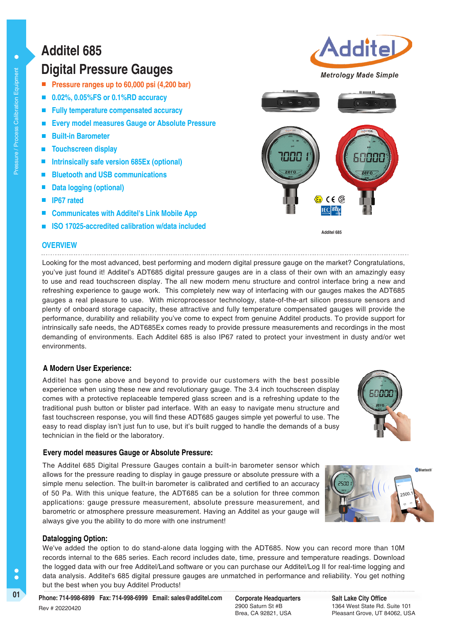# **Additel 685**

## **Digital Pressure Gauges**

- **Pressure ranges up to 60,000 psi (4,200 bar)**
- **0.02%, 0.05%FS or 0.1%RD accuracy**
- **Fully temperature compensated accuracy**
- **Every model measures Gauge or Absolute Pressure**
- **Built-in Barometer**
- **Touchscreen display**
- **Intrinsically safe version 685Ex (optional)**
- **Bluetooth and USB communications**
- **Data logging (optional)**
- **IP67 rated**
- **Communicates with Additel's Link Mobile App**
- **ISO 17025-accredited calibration w/data included**

## **OVERVIEW**

Looking for the most advanced, best performing and modern digital pressure gauge on the market? Congratulations, you've just found it! Additel's ADT685 digital pressure gauges are in a class of their own with an amazingly easy to use and read touchscreen display. The all new modern menu structure and control interface bring a new and refreshing experience to gauge work. This completely new way of interfacing with our gauges makes the ADT685 gauges a real pleasure to use. With microprocessor technology, state-of-the-art silicon pressure sensors and plenty of onboard storage capacity, these attractive and fully temperature compensated gauges will provide the performance, durability and reliability you've come to expect from genuine Additel products. To provide support for intrinsically safe needs, the ADT685Ex comes ready to provide pressure measurements and recordings in the most demanding of environments. Each Additel 685 is also IP67 rated to protect your investment in dusty and/or wet environments.

## **A Modern User Experience:**

Additel has gone above and beyond to provide our customers with the best possible experience when using these new and revolutionary gauge. The 3.4 inch touchscreen display comes with a protective replaceable tempered glass screen and is a refreshing update to the traditional push button or blister pad interface. With an easy to navigate menu structure and fast touchscreen response, you will find these ADT685 gauges simple yet powerful to use. The easy to read display isn't just fun to use, but it's built rugged to handle the demands of a busy technician in the field or the laboratory.

## **Every model measures Gauge or Absolute Pressure:**

The Additel 685 Digital Pressure Gauges contain a built-in barometer sensor which allows for the pressure reading to display in gauge pressure or absolute pressure with a simple menu selection. The built-in barometer is calibrated and certified to an accuracy of 50 Pa. With this unique feature, the ADT685 can be a solution for three common applications: gauge pressure measurement, absolute pressure measurement, and barometric or atmosphere pressure measurement. Having an Additel as your gauge will always give you the ability to do more with one instrument!



## **Datalogging Option:**

C Ċ We've added the option to do stand-alone data logging with the ADT685. Now you can record more than 10M records internal to the 685 series. Each record includes date, time, pressure and temperature readings. Download the logged data with our free Additel/Land software or you can purchase our Additel/Log II for real-time logging and data analysis. Additel's 685 digital pressure gauges are unmatched in performance and reliability. You get nothing but the best when you buy Additel Products!

2900 Saturn St #B Brea, CA 92821, USA **Salt Lake City Office** 1364 West State Rd. Suite 101 Pleasant Grove, UT 84062, USA



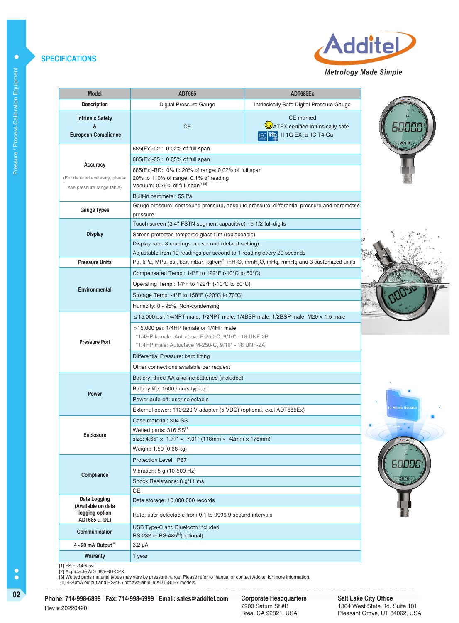#### **SPECIFICATIONS**



| <b>Model</b>                                                            | <b>ADT685</b>                                                                                                                                       | ADT685Ex                                                                                                                      |  |  |  |  |  |
|-------------------------------------------------------------------------|-----------------------------------------------------------------------------------------------------------------------------------------------------|-------------------------------------------------------------------------------------------------------------------------------|--|--|--|--|--|
| <b>Description</b>                                                      | Digital Pressure Gauge                                                                                                                              | Intrinsically Safe Digital Pressure Gauge                                                                                     |  |  |  |  |  |
| <b>Intrinsic Safety</b><br>&<br><b>European Compliance</b>              | <b>CE</b>                                                                                                                                           | <b>CE</b> marked<br><b>Ex</b> ATEX certified intrinsically safe<br><b>IEGEX</b> II 1G EX ia IIC T4 Ga                         |  |  |  |  |  |
|                                                                         | 685(Ex)-02 : 0.02% of full span                                                                                                                     |                                                                                                                               |  |  |  |  |  |
|                                                                         | 685(Ex)-05 : 0.05% of full span                                                                                                                     |                                                                                                                               |  |  |  |  |  |
| Accuracy<br>(For detailed accuracy, please<br>see pressure range table) | 685(Ex)-RD: 0% to 20% of range: 0.02% of full span<br>20% to 110% of range: $0.1\%$ of reading<br>Vacuum: 0.25% of full span <sup>[1][2]</sup>      |                                                                                                                               |  |  |  |  |  |
|                                                                         | Built-in barometer: 55 Pa                                                                                                                           |                                                                                                                               |  |  |  |  |  |
| <b>Gauge Types</b>                                                      |                                                                                                                                                     | Gauge pressure, compound pressure, absolute pressure, differential pressure and barometric                                    |  |  |  |  |  |
|                                                                         | pressure<br>Touch screen (3.4" FSTN segment capacitive) - 5 1/2 full digits                                                                         |                                                                                                                               |  |  |  |  |  |
| <b>Display</b>                                                          | Screen protector: tempered glass film (replaceable)                                                                                                 |                                                                                                                               |  |  |  |  |  |
|                                                                         | Display rate: 3 readings per second (default setting).                                                                                              |                                                                                                                               |  |  |  |  |  |
|                                                                         | Adjustable from 10 readings per second to 1 reading every 20 seconds                                                                                |                                                                                                                               |  |  |  |  |  |
| <b>Pressure Units</b>                                                   |                                                                                                                                                     | Pa, kPa, MPa, psi, bar, mbar, kgf/cm <sup>2</sup> , inH <sub>2</sub> O, mmH <sub>2</sub> O, inHg, mmHg and 3 customized units |  |  |  |  |  |
|                                                                         | Compensated Temp.: $14^{\circ}$ F to $122^{\circ}$ F (-10 $^{\circ}$ C to 50 $^{\circ}$ C)                                                          |                                                                                                                               |  |  |  |  |  |
|                                                                         | Operating Temp.: $14^{\circ}$ F to $122^{\circ}$ F (-10 $^{\circ}$ C to 50 $^{\circ}$ C)                                                            |                                                                                                                               |  |  |  |  |  |
| <b>Environmental</b>                                                    | Storage Temp: -4 $\degree$ F to 158 $\degree$ F (-20 $\degree$ C to 70 $\degree$ C)                                                                 |                                                                                                                               |  |  |  |  |  |
|                                                                         | Humidity: 0 - 95%, Non-condensing                                                                                                                   |                                                                                                                               |  |  |  |  |  |
|                                                                         | $\leq$ 15,000 psi: 1/4NPT male, 1/2NPT male, 1/4BSP male, 1/2BSP male, M20 $\times$ 1.5 male                                                        |                                                                                                                               |  |  |  |  |  |
| <b>Pressure Port</b>                                                    | >15,000 psi: 1/4HP female or 1/4HP male<br>*1/4HP female: Autoclave F-250-C, 9/16" - 18 UNF-2B<br>*1/4HP male: Autoclave M-250-C, 9/16" - 18 UNF-2A |                                                                                                                               |  |  |  |  |  |
|                                                                         | Differential Pressure: barb fitting                                                                                                                 |                                                                                                                               |  |  |  |  |  |
|                                                                         | Other connections available per request                                                                                                             |                                                                                                                               |  |  |  |  |  |
|                                                                         | Battery: three AA alkaline batteries (included)                                                                                                     |                                                                                                                               |  |  |  |  |  |
|                                                                         | Battery life: 1500 hours typical                                                                                                                    |                                                                                                                               |  |  |  |  |  |
| <b>Power</b>                                                            | Power auto-off: user selectable                                                                                                                     |                                                                                                                               |  |  |  |  |  |
|                                                                         | External power: 110/220 V adapter (5 VDC) (optional, excl ADT685Ex)                                                                                 |                                                                                                                               |  |  |  |  |  |
|                                                                         | Case material: 304 SS                                                                                                                               |                                                                                                                               |  |  |  |  |  |
| <b>Enclosure</b>                                                        | Wetted parts: 316 SS[3]                                                                                                                             |                                                                                                                               |  |  |  |  |  |
|                                                                         | size: $4.65'' \times 1.77'' \times 7.01''$ (118mm × 42mm × 178mm)                                                                                   |                                                                                                                               |  |  |  |  |  |
|                                                                         | Weight: 1.50 (0.68 kg)                                                                                                                              |                                                                                                                               |  |  |  |  |  |
|                                                                         | Protection Level: IP67                                                                                                                              |                                                                                                                               |  |  |  |  |  |
| Compliance                                                              | Vibration: 5 g (10-500 Hz)                                                                                                                          |                                                                                                                               |  |  |  |  |  |
|                                                                         | Shock Resistance: 8 g/11 ms                                                                                                                         |                                                                                                                               |  |  |  |  |  |
| Data Logging                                                            | CЕ                                                                                                                                                  |                                                                                                                               |  |  |  |  |  |
| (Available on data<br>logging option                                    | Data storage: 10,000,000 records<br>Rate: user-selectable from 0.1 to 9999.9 second intervals                                                       |                                                                                                                               |  |  |  |  |  |
| ADT685--DL)                                                             | USB Type-C and Bluetooth included                                                                                                                   |                                                                                                                               |  |  |  |  |  |
| Communication                                                           | RS-232 or RS-485 <sup>[4]</sup> (optional)                                                                                                          |                                                                                                                               |  |  |  |  |  |
| $4 - 20$ mA Output <sup>[4]</sup>                                       | 3.2 µA                                                                                                                                              |                                                                                                                               |  |  |  |  |  |
| Warranty                                                                | 1 year                                                                                                                                              |                                                                                                                               |  |  |  |  |  |







 $\bullet$ 

[1] FS = -14.5 psi<br>[2] Applicable ADT685-RD-CPX<br>[3] Wetted parts material types may vary by pressure range. Please refer to manual or contact Additel for more information.<br>[4] Wetted parts material types may vary by pressu

**02 Corporate Headquarters Phone: 714-998-6899 Fax: 714-998-6999 Email: sales@additel.com** Rev # 20220420

Corporate Headquarters<br>2900 Saturn St #B Brea, CA 92821, USA

**Salt Lake City Office** 1364 West State Rd. Suite 101 Pleasant Grove, UT 84062, USA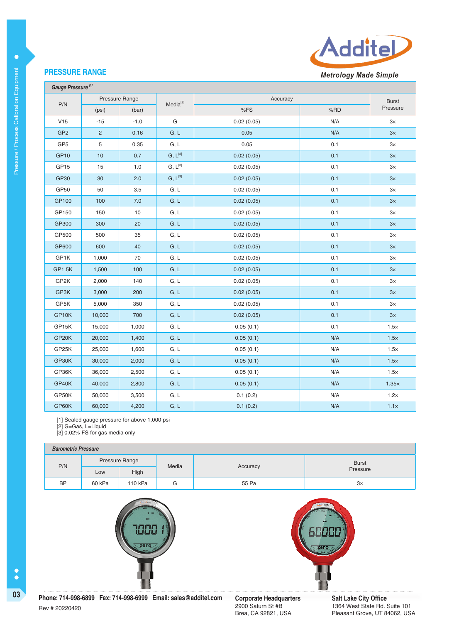

## **PRESSURE RANGE**

 **Gauge Pressure [1]**

 $\bullet$ 

|                  | Pressure Range |        | Media <sup>[2]</sup> | Accuracy   |     |              |
|------------------|----------------|--------|----------------------|------------|-----|--------------|
| P/N              | (psi)          | (bar)  |                      | %FS        | %RD | Pressure     |
| V15              | $-15$          | $-1.0$ | G                    | 0.02(0.05) | N/A | $3\times$    |
| GP <sub>2</sub>  | $\overline{2}$ | 0.16   | G, L                 | 0.05       | N/A | $3\times$    |
| GP <sub>5</sub>  | 5              | 0.35   | G, L                 | 0.05       | 0.1 | $3\times$    |
| GP <sub>10</sub> | 10             | 0.7    | $G, L^{[3]}$         | 0.02(0.05) | 0.1 | 3x           |
| GP <sub>15</sub> | 15             | $1.0$  | $G, L^{[3]}$         | 0.02(0.05) | 0.1 | $3\times$    |
| GP30             | 30             | 2.0    | $G, L^{[3]}$         | 0.02(0.05) | 0.1 | 3x           |
| GP50             | 50             | 3.5    | G, L                 | 0.02(0.05) | 0.1 | $3\times$    |
| GP100            | 100            | 7.0    | G, L                 | 0.02(0.05) | 0.1 | $3\times$    |
| GP150            | 150            | 10     | G, L                 | 0.02(0.05) | 0.1 | $3\times$    |
| GP300            | 300            | 20     | G, L                 | 0.02(0.05) | 0.1 | 3x           |
| GP500            | 500            | 35     | G, L                 | 0.02(0.05) | 0.1 | $3\times$    |
| GP600            | 600            | 40     | G, L                 | 0.02(0.05) | 0.1 | $3\times$    |
| GP1K             | 1,000          | 70     | G, L                 | 0.02(0.05) | 0.1 | $3\times$    |
| GP1.5K           | 1,500          | 100    | G, L                 | 0.02(0.05) | 0.1 | $3\times$    |
| GP2K             | 2,000          | 140    | G, L                 | 0.02(0.05) | 0.1 | $3\times$    |
| GP3K             | 3,000          | 200    | G, L                 | 0.02(0.05) | 0.1 | 3x           |
| GP5K             | 5,000          | 350    | G, L                 | 0.02(0.05) | 0.1 | $3\times$    |
| GP10K            | 10,000         | 700    | G, L                 | 0.02(0.05) | 0.1 | 3x           |
| GP15K            | 15,000         | 1,000  | G, L                 | 0.05(0.1)  | 0.1 | $1.5\times$  |
| GP20K            | 20,000         | 1,400  | G, L                 | 0.05(0.1)  | N/A | $1.5\times$  |
| GP25K            | 25,000         | 1,600  | G, L                 | 0.05(0.1)  | N/A | $1.5\times$  |
| GP30K            | 30,000         | 2,000  | G, L                 | 0.05(0.1)  | N/A | $1.5\times$  |
| GP36K            | 36,000         | 2,500  | G, L                 | 0.05(0.1)  | N/A | $1.5\times$  |
| GP40K            | 40,000         | 2,800  | G, L                 | 0.05(0.1)  | N/A | $1.35\times$ |
| GP50K            | 50,000         | 3,500  | G, L                 | 0.1(0.2)   | N/A | $1.2\times$  |
| GP60K            | 60,000         | 4,200  | G, L                 | 0.1(0.2)   | N/A | $1.1\times$  |

[1] Sealed gauge pressure for above 1,000 psi

[2] G=Gas, L=Liquid

[3] 0.02% FS for gas media only

#### **Barometric Pressure**

|           | <b>Particulus Incoduc</b> |                |                   |       |              |  |  |
|-----------|---------------------------|----------------|-------------------|-------|--------------|--|--|
| P/N       |                           | Pressure Range | Media<br>Accuracy |       | <b>Burst</b> |  |  |
|           | Low                       | High           |                   |       | Pressure     |  |  |
| <b>BP</b> | 60 kPa                    | 110 kPa        | G                 | 55 Pa | З×           |  |  |





 $\bullet$ 

Corporate Headquarters<br>2900 Saturn St #B Brea, CA 92821, USA

**Salt Lake City Office** 1364 West State Rd. Suite 101 Pleasant Grove, UT 84062, USA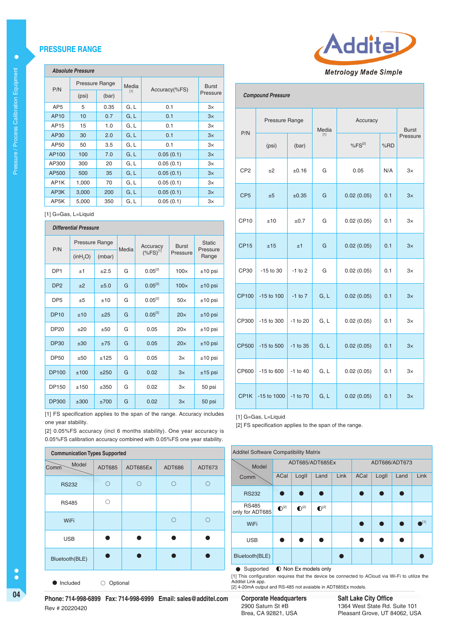#### **PRESSURE RANGE**

#### **Absolute Pressure**

| P/N               | Pressure Range |       | Media | Accuracy(%FS) | <b>Burst</b> |  |
|-------------------|----------------|-------|-------|---------------|--------------|--|
|                   | (psi)          | (bar) | [1]   |               | Pressure     |  |
| AP <sub>5</sub>   | 5              | 0.35  | G, L  | 0.1           | 3×           |  |
| AP <sub>10</sub>  | 10             | 0.7   | G, L  | 0.1           | 3x           |  |
| AP15              | 15             | 1.0   | G, L  | 0.1           | 3×           |  |
| AP30              | 30             | 2.0   | G, L  | 0.1           | 3x           |  |
| AP50              | 50             | 3.5   | G, L  | 0.1           | $3\times$    |  |
| AP100             | 100            | 7.0   | G, L  | 0.05(0.1)     | 3x           |  |
| AP300             | 300            | 20    | G, L  | 0.05(0.1)     | $3\times$    |  |
| AP500             | 500            | 35    | G, L  | 0.05(0.1)     | 3x           |  |
| AP <sub>1</sub> K | 1,000          | 70    | G, L  | 0.05(0.1)     | 3x           |  |
| AP <sub>3</sub> K | 3.000          | 200   | G, L  | 0.05(0.1)     | 3x           |  |
| AP5K              | 5,000          | 350   | G, L  | 0.05(0.1)     | $3\times$    |  |

[1] G=Gas, L=Liquid

### **Differential Pressure**  P/N Pressure Range Media Accuracy  $(%FS)^{[1]}$ Burst Pressure Static Pressure<br>Range  $(inH<sub>2</sub>O)$  (mbar) DP1  $\pm 1$   $\pm 2.5$  G 0.05<sup>[2]</sup> 100 $\times$   $\pm 10$  psi DP2  $\pm 2$   $\pm 5.0$  G 0.05<sup>[2]</sup> 100x  $\pm 10$  psi DP5  $\pm 5$   $\pm 10$  G  $\pm 0.05^{2}$  50x  $\pm 10$  psi DP10  $\pm$ 10  $\pm$ 25 G 0.05<sup>[2]</sup> 20 $\times$   $\pm$ 10 psi DP20 ±20 ±50 G 0.05 20x ±10 psi DP30  $\pm 30$   $\pm 75$  G 0.05 20 $\times$   $\pm 10$  psi DP50  $\pm$ 50  $\pm$ 125 G 0.05 3x  $\pm$ 10 psi DP100  $\pm$ 100  $\pm$ 250 G 0.02 3x  $\pm$ 15 psi DP150 ±150 ±350 G 0.02 3x 50 psi DP300 | ±300 | ±700 | G | 0.02 | 3 $\times$  | 50 psi

[1] FS specification applies to the span of the range. Accuracy includes one year stability.

[2] 0.05%FS accuracy (incl 6 months stability). One year accuracy is 0.05%FS calibration accuracy combined with 0.05%FS one year stability.

| <b>Communication Types Supported</b> |        |          |               |        |  |  |
|--------------------------------------|--------|----------|---------------|--------|--|--|
| Model<br>Comm                        | ADT685 | ADT685Ex | <b>ADT686</b> | ADT673 |  |  |
| <b>RS232</b>                         | ∩      | ו '      |               |        |  |  |
| <b>RS485</b>                         |        |          |               |        |  |  |
| WiFi                                 |        |          |               |        |  |  |
| <b>USB</b>                           |        |          |               |        |  |  |
| Bluetooth(BLE)                       |        |          |               |        |  |  |
|                                      |        |          |               |        |  |  |

 $\bullet$  Included  $\circ$  Optional



#### **Compound Pressure**

| P/N               | Pressure Range |              | Accuracy<br>Media |                    |     | <b>Burst</b> |  |
|-------------------|----------------|--------------|-------------------|--------------------|-----|--------------|--|
|                   | (psi)          | (bar)        | $[1]$             | %FS <sup>[2]</sup> | %RD | Pressure     |  |
| CP <sub>2</sub>   | $+2$           | ±0.16        | G                 | 0.05               | N/A | $3\times$    |  |
| CP <sub>5</sub>   | ±5             | ±0.35        | G                 | 0.02(0.05)         | 0.1 | 3x           |  |
| CP <sub>10</sub>  | ±10            | ±0.7         | G                 | 0.02(0.05)         | 0.1 | 3×           |  |
| <b>CP15</b>       | ±15            | ±1           | G                 | 0.02(0.05)         | 0.1 | 3x           |  |
| CP30              | $-15$ to 30    | $-1$ to $2$  | G                 | 0.02(0.05)         | 0.1 | $3\times$    |  |
| <b>CP100</b>      | $-15$ to $100$ | $-1$ to $7$  | G, L              | 0.02(0.05)         | 0.1 | 3x           |  |
| CP300             | $-15$ to 300   | -1 to 20     | G, L              | 0.02(0.05)         | 0.1 | $3\times$    |  |
| CP500             | $-15$ to 500   | $-1$ to 35   | G, L              | 0.02(0.05)         | 0.1 | 3x           |  |
| CP600             | $-15$ to 600   | $-1$ to $40$ | G, L              | 0.02(0.05)         | 0.1 | $3\times$    |  |
| CP <sub>1</sub> K | -15 to 1000    | -1 to 70     | G, L              | 0.02(0.05)         | 0.1 | 3x           |  |

[1] G=Gas, L=Liquid

[2] FS specification applies to the span of the range.

| <b>Additel Software Compatibility Matrix</b> |                    |                    |                  |      |               |       |      |               |
|----------------------------------------------|--------------------|--------------------|------------------|------|---------------|-------|------|---------------|
| Model                                        |                    | ADT685/ADT685Ex    |                  |      | ADT686/ADT673 |       |      |               |
| Comm                                         | ACal               | Logll              | Land             | Link | ACal          | LogII | Land | Link          |
| <b>RS232</b>                                 |                    |                    |                  |      |               |       |      |               |
| <b>RS485</b><br>only for ADT685              | $\mathbf{O}^{[2]}$ | $\mathbf{O}^{[2]}$ | $\bigodot^{[2]}$ |      |               |       |      |               |
| WiFi                                         |                    |                    |                  |      |               |       |      | $\bullet$ [1] |
| <b>USB</b>                                   |                    |                    |                  |      |               |       |      |               |
| Bluetooth(BLE)                               |                    |                    |                  |      |               |       |      |               |

● Supported ● Non Ex models only

[1] This configuration requires that the device be connected to ACloud via Wi-Fi to utilize the Additel Link app.

[2] 4-20mA output and RS-485 not avaiable in ADT685Ex models.

2900 Saturn St #B Brea, CA 92821, USA

**Salt Lake City Office** 1364 West State Rd. Suite 101 Pleasant Grove, UT 84062, USA

**04 Corporate Corporate Headquarters Corporate Headquarters**<br> **Phone: 714-998-6899 Fax: 714-998-6999 Email: sales@additel.com Corporate Headquarters** Rev # 20220420